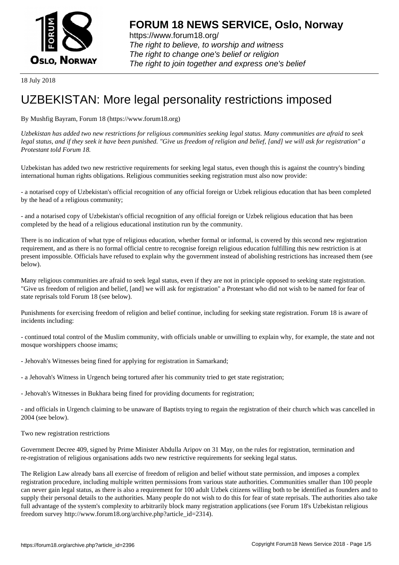

https://www.forum18.org/ The right to believe, to worship and witness The right to change one's belief or religion [The right to join together a](https://www.forum18.org/)nd express one's belief

18 July 2018

## [UZBEKISTAN:](https://www.forum18.org) More legal personality restrictions imposed

By Mushfig Bayram, Forum 18 (https://www.forum18.org)

*Uzbekistan has added two new restrictions for religious communities seeking legal status. Many communities are afraid to seek legal status, and if they seek it have been punished. "Give us freedom of religion and belief, [and] we will ask for registration" a Protestant told Forum 18.*

Uzbekistan has added two new restrictive requirements for seeking legal status, even though this is against the country's binding international human rights obligations. Religious communities seeking registration must also now provide:

- a notarised copy of Uzbekistan's official recognition of any official foreign or Uzbek religious education that has been completed by the head of a religious community;

- and a notarised copy of Uzbekistan's official recognition of any official foreign or Uzbek religious education that has been completed by the head of a religious educational institution run by the community.

There is no indication of what type of religious education, whether formal or informal, is covered by this second new registration requirement, and as there is no formal official centre to recognise foreign religious education fulfilling this new restriction is at present impossible. Officials have refused to explain why the government instead of abolishing restrictions has increased them (see below).

Many religious communities are afraid to seek legal status, even if they are not in principle opposed to seeking state registration. "Give us freedom of religion and belief, [and] we will ask for registration" a Protestant who did not wish to be named for fear of state reprisals told Forum 18 (see below).

Punishments for exercising freedom of religion and belief continue, including for seeking state registration. Forum 18 is aware of incidents including:

- continued total control of the Muslim community, with officials unable or unwilling to explain why, for example, the state and not mosque worshippers choose imams;

- Jehovah's Witnesses being fined for applying for registration in Samarkand;
- a Jehovah's Witness in Urgench being tortured after his community tried to get state registration;
- Jehovah's Witnesses in Bukhara being fined for providing documents for registration;

- and officials in Urgench claiming to be unaware of Baptists trying to regain the registration of their church which was cancelled in 2004 (see below).

Two new registration restrictions

Government Decree 409, signed by Prime Minister Abdulla Aripov on 31 May, on the rules for registration, termination and re-registration of religious organisations adds two new restrictive requirements for seeking legal status.

The Religion Law already bans all exercise of freedom of religion and belief without state permission, and imposes a complex registration procedure, including multiple written permissions from various state authorities. Communities smaller than 100 people can never gain legal status, as there is also a requirement for 100 adult Uzbek citizens willing both to be identified as founders and to supply their personal details to the authorities. Many people do not wish to do this for fear of state reprisals. The authorities also take full advantage of the system's complexity to arbitrarily block many registration applications (see Forum 18's Uzbekistan religious freedom survey http://www.forum18.org/archive.php?article\_id=2314).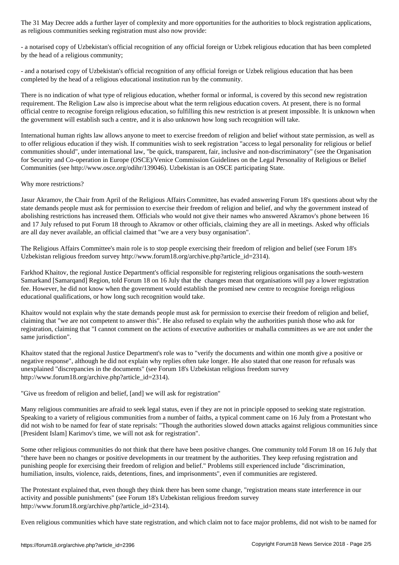as religious communities seeking registration must also now provide:

- a notarised copy of Uzbekistan's official recognition of any official foreign or Uzbek religious education that has been completed by the head of a religious community;

- and a notarised copy of Uzbekistan's official recognition of any official foreign or Uzbek religious education that has been completed by the head of a religious educational institution run by the community.

There is no indication of what type of religious education, whether formal or informal, is covered by this second new registration requirement. The Religion Law also is imprecise about what the term religious education covers. At present, there is no formal official centre to recognise foreign religious education, so fulfilling this new restriction is at present impossible. It is unknown when the government will establish such a centre, and it is also unknown how long such recognition will take.

International human rights law allows anyone to meet to exercise freedom of religion and belief without state permission, as well as to offer religious education if they wish. If communities wish to seek registration "access to legal personality for religious or belief communities should", under international law, "be quick, transparent, fair, inclusive and non-discriminatory" (see the Organisation for Security and Co-operation in Europe (OSCE)/Venice Commission Guidelines on the Legal Personality of Religious or Belief Communities (see http://www.osce.org/odihr/139046). Uzbekistan is an OSCE participating State.

## Why more restrictions?

Jasur Akramov, the Chair from April of the Religious Affairs Committee, has evaded answering Forum 18's questions about why the state demands people must ask for permission to exercise their freedom of religion and belief, and why the government instead of abolishing restrictions has increased them. Officials who would not give their names who answered Akramov's phone between 16 and 17 July refused to put Forum 18 through to Akramov or other officials, claiming they are all in meetings. Asked why officials are all day never available, an official claimed that "we are a very busy organisation".

The Religious Affairs Committee's main role is to stop people exercising their freedom of religion and belief (see Forum 18's Uzbekistan religious freedom survey http://www.forum18.org/archive.php?article\_id=2314).

Farkhod Khaitov, the regional Justice Department's official responsible for registering religious organisations the south-western Samarkand [Samarqand] Region, told Forum 18 on 16 July that the changes mean that organisations will pay a lower registration fee. However, he did not know when the government would establish the promised new centre to recognise foreign religious educational qualifications, or how long such recognition would take.

Khaitov would not explain why the state demands people must ask for permission to exercise their freedom of religion and belief, claiming that "we are not competent to answer this". He also refused to explain why the authorities punish those who ask for registration, claiming that "I cannot comment on the actions of executive authorities or mahalla committees as we are not under the same jurisdiction".

Khaitov stated that the regional Justice Department's role was to "verify the documents and within one month give a positive or negative response", although he did not explain why replies often take longer. He also stated that one reason for refusals was unexplained "discrepancies in the documents" (see Forum 18's Uzbekistan religious freedom survey http://www.forum18.org/archive.php?article\_id=2314).

"Give us freedom of religion and belief, [and] we will ask for registration"

Many religious communities are afraid to seek legal status, even if they are not in principle opposed to seeking state registration. Speaking to a variety of religious communities from a number of faiths, a typical comment came on 16 July from a Protestant who did not wish to be named for fear of state reprisals: "Though the authorities slowed down attacks against religious communities since [President Islam] Karimov's time, we will not ask for registration".

Some other religious communities do not think that there have been positive changes. One community told Forum 18 on 16 July that "there have been no changes or positive developments in our treatment by the authorities. They keep refusing registration and punishing people for exercising their freedom of religion and belief." Problems still experienced include "discrimination, humiliation, insults, violence, raids, detentions, fines, and imprisonments", even if communities are registered.

The Protestant explained that, even though they think there has been some change, "registration means state interference in our activity and possible punishments" (see Forum 18's Uzbekistan religious freedom survey http://www.forum18.org/archive.php?article\_id=2314).

Even religious communities which have state registration, and which claim not to face major problems, did not wish to be named for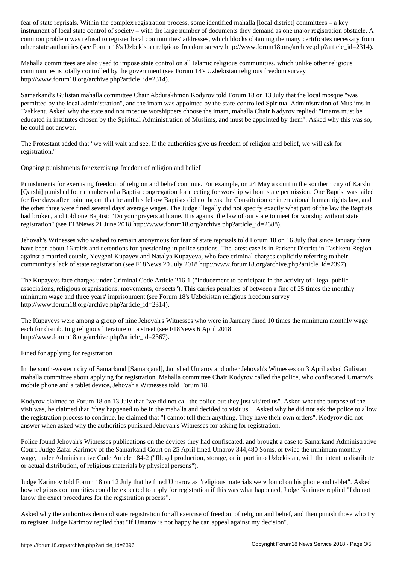instrument of local state control of society – with the large number of documents they demand as one major registration obstacle. A common problem was refusal to register local communities' addresses, which blocks obtaining the many certificates necessary from other state authorities (see Forum 18's Uzbekistan religious freedom survey http://www.forum18.org/archive.php?article\_id=2314).

Mahalla committees are also used to impose state control on all Islamic religious communities, which unlike other religious communities is totally controlled by the government (see Forum 18's Uzbekistan religious freedom survey http://www.forum18.org/archive.php?article\_id=2314).

Samarkand's Gulistan mahalla committee Chair Abdurakhmon Kodyrov told Forum 18 on 13 July that the local mosque "was permitted by the local administration", and the imam was appointed by the state-controlled Spiritual Administration of Muslims in Tashkent. Asked why the state and not mosque worshippers choose the imam, mahalla Chair Kadyrov replied: "Imams must be educated in institutes chosen by the Spiritual Administration of Muslims, and must be appointed by them". Asked why this was so, he could not answer.

The Protestant added that "we will wait and see. If the authorities give us freedom of religion and belief, we will ask for registration."

Ongoing punishments for exercising freedom of religion and belief

Punishments for exercising freedom of religion and belief continue. For example, on 24 May a court in the southern city of Karshi [Qarshi] punished four members of a Baptist congregation for meeting for worship without state permission. One Baptist was jailed for five days after pointing out that he and his fellow Baptists did not break the Constitution or international human rights law, and the other three were fined several days' average wages. The Judge illegally did not specify exactly what part of the law the Baptists had broken, and told one Baptist: "Do your prayers at home. It is against the law of our state to meet for worship without state registration" (see F18News 21 June 2018 http://www.forum18.org/archive.php?article\_id=2388).

Jehovah's Witnesses who wished to remain anonymous for fear of state reprisals told Forum 18 on 16 July that since January there have been about 16 raids and detentions for questioning in police stations. The latest case is in Parkent District in Tashkent Region against a married couple, Yevgeni Kupayev and Natalya Kupayeva, who face criminal charges explicitly referring to their community's lack of state registration (see F18News 20 July 2018 http://www.forum18.org/archive.php?article\_id=2397).

The Kupayevs face charges under Criminal Code Article 216-1 ("Inducement to participate in the activity of illegal public associations, religious organisations, movements, or sects"). This carries penalties of between a fine of 25 times the monthly minimum wage and three years' imprisonment (see Forum 18's Uzbekistan religious freedom survey http://www.forum18.org/archive.php?article\_id=2314).

The Kupayevs were among a group of nine Jehovah's Witnesses who were in January fined 10 times the minimum monthly wage each for distributing religious literature on a street (see F18News 6 April 2018 http://www.forum18.org/archive.php?article\_id=2367).

Fined for applying for registration

In the south-western city of Samarkand [Samarqand], Jamshed Umarov and other Jehovah's Witnesses on 3 April asked Gulistan mahalla committee about applying for registration. Mahalla committee Chair Kodyrov called the police, who confiscated Umarov's mobile phone and a tablet device, Jehovah's Witnesses told Forum 18.

Kodyrov claimed to Forum 18 on 13 July that "we did not call the police but they just visited us". Asked what the purpose of the visit was, he claimed that "they happened to be in the mahalla and decided to visit us". Asked why he did not ask the police to allow the registration process to continue, he claimed that "I cannot tell them anything. They have their own orders". Kodyrov did not answer when asked why the authorities punished Jehovah's Witnesses for asking for registration.

Police found Jehovah's Witnesses publications on the devices they had confiscated, and brought a case to Samarkand Administrative Court. Judge Zafar Karimov of the Samarkand Court on 25 April fined Umarov 344,480 Soms, or twice the minimum monthly wage, under Administrative Code Article 184-2 ("Illegal production, storage, or import into Uzbekistan, with the intent to distribute or actual distribution, of religious materials by physical persons").

Judge Karimov told Forum 18 on 12 July that he fined Umarov as "religious materials were found on his phone and tablet". Asked how religious communities could be expected to apply for registration if this was what happened, Judge Karimov replied "I do not know the exact procedures for the registration process".

Asked why the authorities demand state registration for all exercise of freedom of religion and belief, and then punish those who try to register, Judge Karimov replied that "if Umarov is not happy he can appeal against my decision".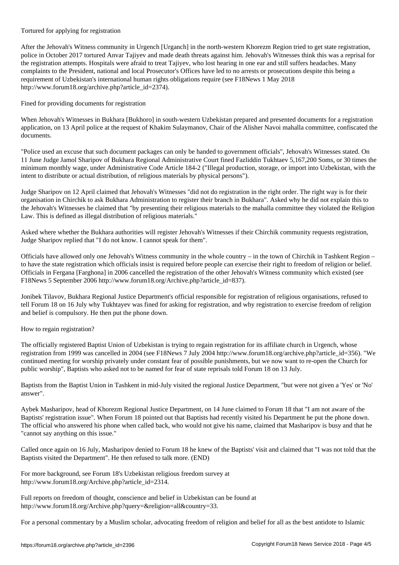To the contract for  $\alpha$ 

After the Jehovah's Witness community in Urgench [Urganch] in the north-western Khorezm Region tried to get state registration, police in October 2017 tortured Anvar Tajiyev and made death threats against him. Jehovah's Witnesses think this was a reprisal for the registration attempts. Hospitals were afraid to treat Tajiyev, who lost hearing in one ear and still suffers headaches. Many complaints to the President, national and local Prosecutor's Offices have led to no arrests or prosecutions despite this being a requirement of Uzbekistan's international human rights obligations require (see F18News 1 May 2018 http://www.forum18.org/archive.php?article\_id=2374).

Fined for providing documents for registration

When Jehovah's Witnesses in Bukhara [Bukhoro] in south-western Uzbekistan prepared and presented documents for a registration application, on 13 April police at the request of Khakim Sulaymanov, Chair of the Alisher Navoi mahalla committee, confiscated the documents.

"Police used an excuse that such document packages can only be handed to government officials", Jehovah's Witnesses stated. On 11 June Judge Jamol Sharipov of Bukhara Regional Administrative Court fined Fazliddin Tukhtaev 5,167,200 Soms, or 30 times the minimum monthly wage, under Administrative Code Article 184-2 ("Illegal production, storage, or import into Uzbekistan, with the intent to distribute or actual distribution, of religious materials by physical persons").

Judge Sharipov on 12 April claimed that Jehovah's Witnesses "did not do registration in the right order. The right way is for their organisation in Chirchik to ask Bukhara Administration to register their branch in Bukhara". Asked why he did not explain this to the Jehovah's Witnesses he claimed that "by presenting their religious materials to the mahalla committee they violated the Religion Law. This is defined as illegal distribution of religious materials."

Asked where whether the Bukhara authorities will register Jehovah's Witnesses if their Chirchik community requests registration, Judge Sharipov replied that "I do not know. I cannot speak for them".

Officials have allowed only one Jehovah's Witness community in the whole country – in the town of Chirchik in Tashkent Region – to have the state registration which officials insist is required before people can exercise their right to freedom of religion or belief. Officials in Fergana [Farghona] in 2006 cancelled the registration of the other Jehovah's Witness community which existed (see F18News 5 September 2006 http://www.forum18.org/Archive.php?article\_id=837).

Jonibek Tilavov, Bukhara Regional Justice Department's official responsible for registration of religious organisations, refused to tell Forum 18 on 16 July why Tukhtayev was fined for asking for registration, and why registration to exercise freedom of religion and belief is compulsory. He then put the phone down.

How to regain registration?

The officially registered Baptist Union of Uzbekistan is trying to regain registration for its affiliate church in Urgench, whose registration from 1999 was cancelled in 2004 (see F18News 7 July 2004 http://www.forum18.org/archive.php?article\_id=356). "We continued meeting for worship privately under constant fear of possible punishments, but we now want to re-open the Church for public worship", Baptists who asked not to be named for fear of state reprisals told Forum 18 on 13 July.

Baptists from the Baptist Union in Tashkent in mid-July visited the regional Justice Department, "but were not given a 'Yes' or 'No' answer".

Aybek Masharipov, head of Khorezm Regional Justice Department, on 14 June claimed to Forum 18 that "I am not aware of the Baptists' registration issue". When Forum 18 pointed out that Baptists had recently visited his Department he put the phone down. The official who answered his phone when called back, who would not give his name, claimed that Masharipov is busy and that he "cannot say anything on this issue."

Called once again on 16 July, Masharipov denied to Forum 18 he knew of the Baptists' visit and claimed that "I was not told that the Baptists visited the Department". He then refused to talk more. (END)

For more background, see Forum 18's Uzbekistan religious freedom survey at http://www.forum18.org/Archive.php?article\_id=2314.

Full reports on freedom of thought, conscience and belief in Uzbekistan can be found at http://www.forum18.org/Archive.php?query=&religion=all&country=33.

For a personal commentary by a Muslim scholar, advocating freedom of religion and belief for all as the best antidote to Islamic